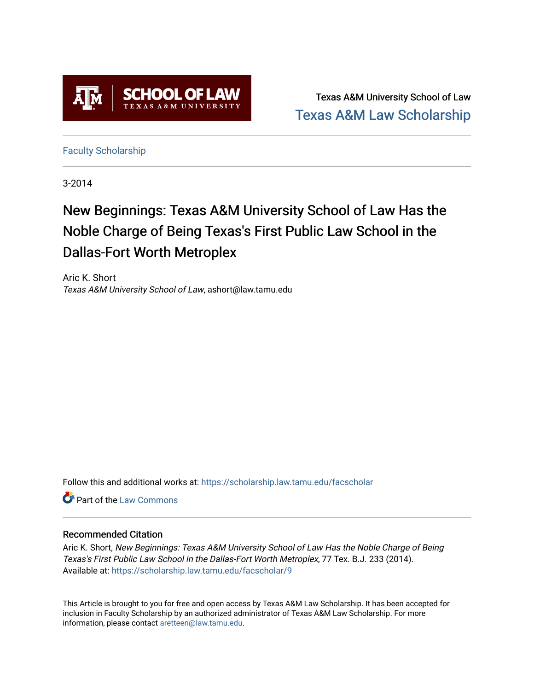

Texas A&M University School of Law [Texas A&M Law Scholarship](https://scholarship.law.tamu.edu/) 

[Faculty Scholarship](https://scholarship.law.tamu.edu/facscholar)

3-2014

# New Beginnings: Texas A&M University School of Law Has the Noble Charge of Being Texas's First Public Law School in the Dallas-Fort Worth Metroplex

Aric K. Short Texas A&M University School of Law, ashort@law.tamu.edu

Follow this and additional works at: [https://scholarship.law.tamu.edu/facscholar](https://scholarship.law.tamu.edu/facscholar?utm_source=scholarship.law.tamu.edu%2Ffacscholar%2F9&utm_medium=PDF&utm_campaign=PDFCoverPages) 

**C** Part of the [Law Commons](http://network.bepress.com/hgg/discipline/578?utm_source=scholarship.law.tamu.edu%2Ffacscholar%2F9&utm_medium=PDF&utm_campaign=PDFCoverPages)

#### Recommended Citation

Aric K. Short, New Beginnings: Texas A&M University School of Law Has the Noble Charge of Being Texas's First Public Law School in the Dallas-Fort Worth Metroplex, 77 Tex. B.J. 233 (2014). Available at: [https://scholarship.law.tamu.edu/facscholar/9](https://scholarship.law.tamu.edu/facscholar/9?utm_source=scholarship.law.tamu.edu%2Ffacscholar%2F9&utm_medium=PDF&utm_campaign=PDFCoverPages) 

This Article is brought to you for free and open access by Texas A&M Law Scholarship. It has been accepted for inclusion in Faculty Scholarship by an authorized administrator of Texas A&M Law Scholarship. For more information, please contact [aretteen@law.tamu.edu](mailto:aretteen@law.tamu.edu).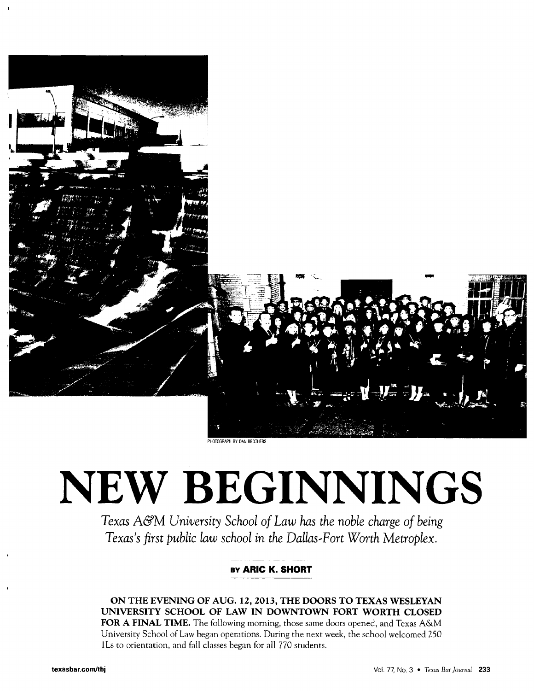

# **NEW BEGINNINGS**

*Texas* A&M *University School of Law has the noble charge of being Texas's first public law school in the Dallas-Fort Worth Metroplex.*

### **By ARIC K. SHORT**

**ON THE EVENING OF AUG. 12, 2013, THE DOORS TO TEXAS WESLEYAN UNIVERSITY SCHOOL OF LAW IN DOWNTOWN FORT WORTH CLOSED FOR A FINAL TIME.** The following morning, those same doors opened, and Texas A&M University School of Law began operations. During the next week, the school welcomed 250 ILs to orientation, and fall classes began for all 770 students.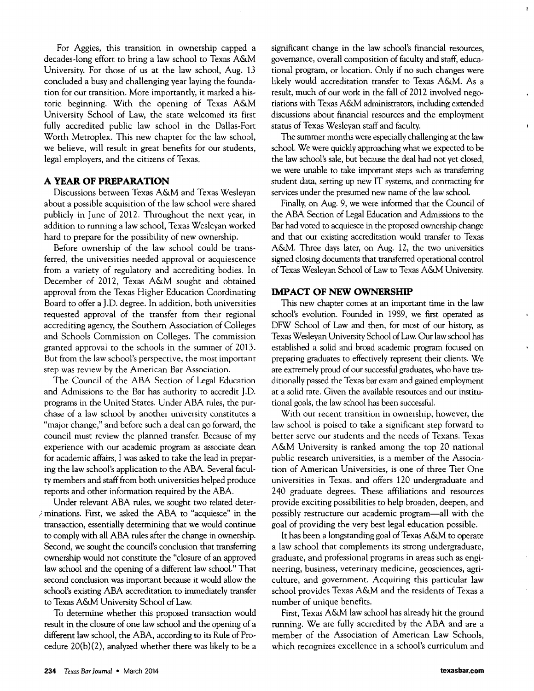For Aggies, this transition in ownership capped a decades-long effort to bring a law school to Texas A&M University. For those of us at the law school, Aug. 13 concluded a busy and challenging year laying the foundation for our transition. More importantly, it marked a historic beginning. With the opening of Texas A&M University School of Law, the state welcomed its first fully accredited public law school in the Dallas-Fort Worth Metroplex. This new chapter for the law school, we believe, will result in great benefits for our students, legal employers, and the citizens of Texas.

#### **A YEAR OF PREPARATION**

Discussions between Texas A&M and Texas Wesleyan about a possible acquisition of the law school were shared publicly in June of 2012. Throughout the next year, in addition to running a law school, Texas Wesleyan worked hard to prepare for the possibility of new ownership.

Before ownership of the law school could be transferred, the universities needed approval or acquiescence from a variety of regulatory and accrediting bodies. In December of 2012, Texas A&M sought and obtained approval from the Texas Higher Education Coordinating Board to offer a J.D. degree. In addition, both universities requested approval of the transfer from their regional accrediting agency, the Southern Association of Colleges and Schools Commission on Colleges. The commission granted approval to the schools in the summer of 2013. But from the law school's perspective, the most important step was review by the American Bar Association.

The Council of the ABA Section of Legal Education and Admissions to the Bar has authority to accredit J.D. programs in the United States. Under ABA rules, the purchase of a law school by another university constitutes a "major change," and before such a deal can go forward, the council must review the planned transfer. Because of my experience with our academic program as associate dean for academic affairs, I was asked to take the lead in preparing the law school's application to the ABA. Several faculty members and staff from both universities helped produce reports and other information required by the ABA.

Under relevant ABA rules, we sought two related determinations. First, we asked the ABA to "acquiesce" in the transaction, essentially determining that we would continue to comply with all ABA rules after the change in ownership. Second, we sought the council's conclusion that transferring ownership would not constitute the "closure of an approved law school and the opening of a different law school." That second conclusion was important because it would allow the school's existing ABA accreditation to immediately transfer to Texas A&M University School of Law.

To determine whether this proposed transaction would result in the closure of one law school and the opening of a different law school, the ABA, according to its Rule of Procedure 20(b)(2), analyzed whether there was likely to be a significant change in the law school's financial resources, governance, overall composition of faculty and staff, educational program, or location. Only if no such changes were likely would accreditation transfer to Texas A&M. As a result, much of our work in the fall of 2012 involved negotiations with Texas A&M administrators, including extended discussions about financial resources and the employment status of Texas Wesleyan staff and faculty.

 $\mathbf{r}$ 

 $\mathbf{r}$ 

The summer months were especially challenging at the law school. We were quickly approaching what we expected to be the law school's sale, but because the deal had not yet closed, we were unable to take important steps such as transferring student data, setting up new IT systems, and contracting for services under the presumed new name of the law school.

Finally, on Aug. 9, we were informed that the Council of the ABA Section of Legal Education and Admissions to the Bar had voted to acquiesce in the proposed ownership change and that our existing accreditation would transfer to Texas A&M. Three days later, on Aug. 12, the two universities signed closing documents that transferred operational control of Texas Wesleyan School of Law to Texas A&M University.

#### **IMPACT OF NEW OWNERSHIP**

This new chapter comes at an important time in the law school's evolution. Founded in 1989, we first operated as DFW School of Law and then, for most of our history, as Texas Wesleyan University School of Law. Our law school has established a solid and broad academic program focused on preparing graduates to effectively represent their clients. We are extremely proud of our successful graduates, who have traditionally passed the Texas bar exam and gained employment at a solid rate. Given the available resources and our institutional goals, the law school has been successful.

With our recent transition in ownership, however, the law school is poised to take a significant step forward to better serve our students and the needs of Texans. Texas A&M University is ranked among the top 20 national public research universities, is a member of the Association of American Universities, is one of three Tier One universities in Texas, and offers 120 undergraduate and 240 graduate degrees. These affiliations and resources provide exciting possibilities to help broaden, deepen, and possibly restructure our academic program-all with the goal of providing the very best legal education possible.

It has been a longstanding goal of Texas A&M to operate a law school that complements its strong undergraduate, graduate, and professional programs in areas such as engineering, business, veterinary medicine, geosciences, agriculture, and government. Acquiring this particular law school provides Texas A&M and the residents of Texas a number of unique benefits.

First, Texas A&M law school has already hit the ground running. We are fully accredited by the ABA and are a member of the Association of American Law Schools, which recognizes excellence in a school's curriculum and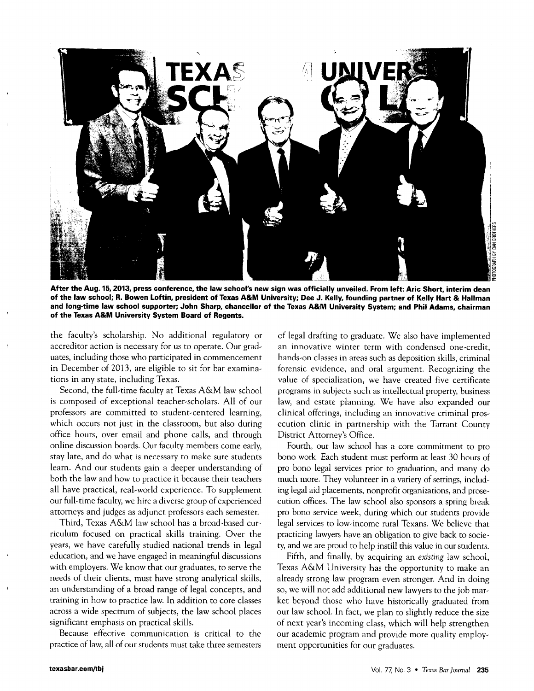

**After the Aug. 15, 2013, press conference, the law school's new sign was officially unveiled. From left: Aric Short, interim dean of the law school; R. Bowen Loftin, president of Texas A&M University; Dee J. Kelly, founding partner of Kelly Hart & Hallman and long-time law school supporter; John Sharp, chancellor of the Texas A&M University System; and Phil Adams, chairman of the Texas A&M University System Board of Regents.**

the faculty's scholarship. No additional regulatory or accreditor action is necessary for us to operate. Our graduates, including those who participated in commencement in December of 2013, are eligible to sit for bar examinations in any state, including Texas.

Second, the full-time faculty at Texas A&M law school is composed of exceptional teacher-scholars. All of our professors are committed to student-centered learning, which occurs not just in the classroom, but also during office hours, over email and phone calls, and through online discussion boards. Our faculty members come early, stay late, and do what is necessary to make sure students learn. And our students gain a deeper understanding of both the law and how to practice it because their teachers all have practical, real-world experience. To supplement our full-time faculty, we hire a diverse group of experienced attorneys and judges as adjunct professors each semester.

Third, Texas A&M law school has a broad-based curriculum focused on practical skills training. Over the years, we have carefully studied national trends in legal education, and we have engaged in meaningful discussions with employers. We know that our graduates, to serve the needs of their clients, must have strong analytical skills, an understanding of a broad range of legal concepts, and training in how to practice law. In addition to core classes across a wide spectrum of subjects, the law school places significant emphasis on practical skills.

Because effective communication is critical to the practice of law, all of our students must take three semesters of legal drafting to graduate. We also have implemented an innovative winter term with condensed one-credit, hands-on classes in areas such as deposition skills, criminal forensic evidence, and oral argument. Recognizing the value of specialization, we have created five certificate programs in subjects such as intellectual property, business law, and estate planning. We have also expanded our clinical offerings, including an innovative criminal prosecution clinic in partnership with the Tarrant County District Attorney's Office.

Fourth, our law school has a core commitment to pro bono work. Each student must perform at least 30 hours of pro bono legal services prior to graduation, and many do much more. They volunteer in a variety of settings, including legal aid placements, nonprofit organizations, and prosecution offices. The law school also sponsors a spring break pro bono service week, during which our students provide legal services to low-income rural Texans. We believe that practicing lawyers have an obligation to give back to society, and we are proud to help instill this value in our students.

Fifth, and finally, by acquiring an *existing* law school, Texas A&M University has the opportunity to make an already strong law program even stronger. And in doing so, we will not add additional new lawyers to the job market beyond those who have historically graduated from our law school. In fact, we plan to slightly reduce the size of next year's incoming class, which will help strengthen our academic program and provide more quality employment opportunities for our graduates.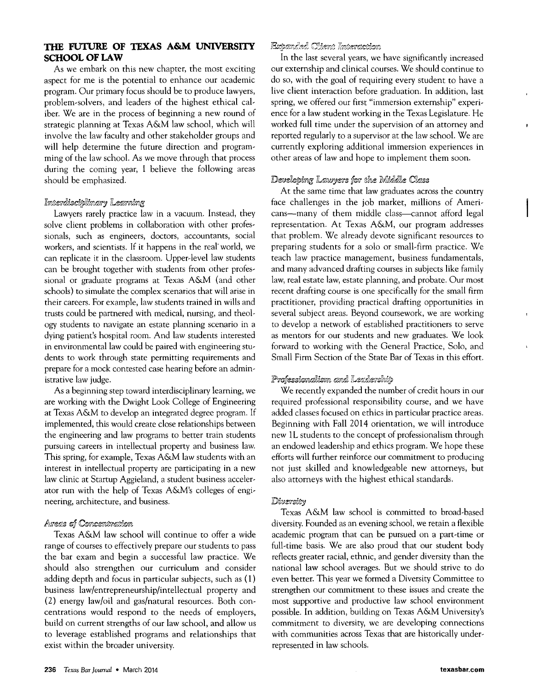#### **THE FUTURE OF TEXAS A&M UNIVERSITY SCHOOL OF LAW**

As we embark on this new chapter, the most exciting aspect for me is the potential to enhance our academic program. Our primary focus should be to produce lawyers, problem-solvers, and leaders of the highest ethical caliber. We are in the process of beginning a new round of strategic planning at Texas A&M law school, which will involve the law faculty and other stakeholder groups and will help determine the future direction and programming of the law school. As we move through that process during the coming year, I believe the following areas should be emphasized.

#### Interdisciplinary Learning

Lawyers rarely practice law in a vacuum. Instead, they solve client problems in collaboration with other professionals, such as engineers, doctors, accountants, social workers, and scientists. If it happens in the real' world, we can replicate it in the classroom. Upper-level law students can be brought together with students from other professional or graduate programs at Texas A&M (and other schools) to simulate the complex scenarios that will arise in their careers. For example, law students trained in wills and trusts could be partnered with medical, nursing, and theology students to navigate an estate planning scenario in a dying patient's hospital room. And law students interested in environmental law could be paired with engineering students to work through state permitting requirements and prepare for a mock contested case hearing before an administrative law judge.

As a beginning step toward interdisciplinary learning, we are working with the Dwight Look College of Engineering at Texas A&M to develop an integrated degree program. If implemented, this would create close relationships between the engineering and law programs to better train students pursuing careers in intellectual property and business law. This spring, for example, Texas A&M law students with an interest in intellectual property are participating in a new law clinic at Startup Aggieland, a student business accelerator run with the help of Texas A&M's colleges of engineering, architecture, and business.

#### Areas of Concentration

Texas A&M law school will continue to offer a wide range of courses to effectively prepare our students to pass the bar exam and begin a successful law practice. We should also strengthen our curriculum and consider adding depth and focus in particular subjects, such as (1) business law/entrepreneurship/intellectual property and (2) energy law/oil and gas/natural resources. Both concentrations would respond to the needs of employers, build on current strengths of our law school, and allow us to leverage established programs and relationships that exist within the broader university.

#### Expanded Chient Interaction

In the last several years, we have significantly increased our externship and clinical courses. We should continue to do so, with the goal of requiring every student to have a live client interaction before graduation. In addition, last spring, we offered our first "immersion extemship" experience for a law student working in the Texas Legislature. He worked full time under the supervision of an attorney and reported regularly to a supervisor at the law school. We are currently exploring additional immersion experiences in other areas of law and hope to implement them soon.

#### Developing Lawyers for the Middle Class

At the same time that law graduates across the country face challenges in the job market, millions of Americans-many of them middle class-cannot afford legal representation. At Texas A&M, our program addresses that problem. We already devote significant resources to preparing students for a solo or small-firm practice. We teach law practice management, business fundamentals, and many advanced drafting courses in subjects like family law, real estate law, estate planning, and probate. Our most recent drafting course is one specifically for the small firm practitioner, providing practical drafting opportunities in several subject areas. Beyond coursework, we are working to develop a network of established practitioners to serve as mentors for our students and new graduates. We look forward to working with the General Practice, Solo, and Small Firm Section of the State Bar of Texas in this effort.

#### Professionalism and Leadership

We recently expanded the number of credit hours in our required professional responsibility course, and we have added classes focused on ethics in particular practice areas. Beginning with Fall 2014 orientation, we will introduce new IL students to the concept of professionalism through an endowed leadership and ethics program. We hope these efforts will further reinforce our commitment to producing not just skilled and knowledgeable new attorneys, but also attorneys with the highest ethical standards.

#### Diversity

Texas A&M law school is committed to broad-based diversity. Founded as an evening school, we retain a flexible academic program that can be pursued on a part-time or full-time basis. We are also proud that our student body reflects greater racial, ethnic, and gender diversity than the national law school averages. But we should strive to do even better. This year we formed a Diversity Committee to strengthen our commitment to these issues and create the most supportive and productive law school environment possible. In addition, building on Texas A&M University's commitment to diversity, we are developing connections with communities across Texas that are historically underrepresented in law schools.